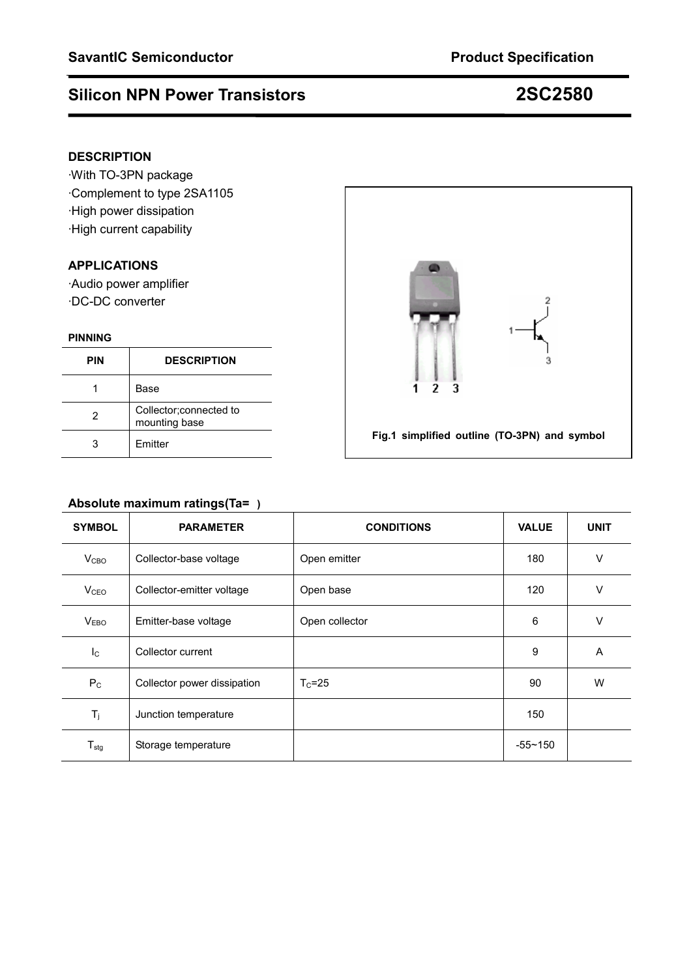# **Silicon NPN Power Transistors 2SC2580**

## **DESCRIPTION**

·With TO-3PN package ·Complement to type 2SA1105 ·High power dissipation ·High current capability

## **APPLICATIONS**

·Audio power amplifier ·DC-DC converter

### **PINNING**

| <b>PIN</b> | <b>DESCRIPTION</b>                       |  |
|------------|------------------------------------------|--|
|            | Base                                     |  |
| 2          | Collector; connected to<br>mounting base |  |
|            | <b>Fmitter</b>                           |  |



## **Absolute maximum ratings(Ta=)**

| <b>SYMBOL</b>          | <b>PARAMETER</b>            | <b>CONDITIONS</b> | <b>VALUE</b> | <b>UNIT</b> |
|------------------------|-----------------------------|-------------------|--------------|-------------|
| V <sub>CBO</sub>       | Collector-base voltage      | Open emitter      | 180          | $\vee$      |
| <b>V<sub>CEO</sub></b> | Collector-emitter voltage   | Open base         | 120          | $\vee$      |
| V <sub>EBO</sub>       | Emitter-base voltage        | Open collector    | 6            | V           |
| $I_{\rm C}$            | Collector current           |                   | 9            | A           |
| $P_{C}$                | Collector power dissipation | $T_c = 25$        | 90           | W           |
| $\mathsf{T}_j$         | Junction temperature        |                   | 150          |             |
| $T_{\text{stg}}$       | Storage temperature         |                   | $-55 - 150$  |             |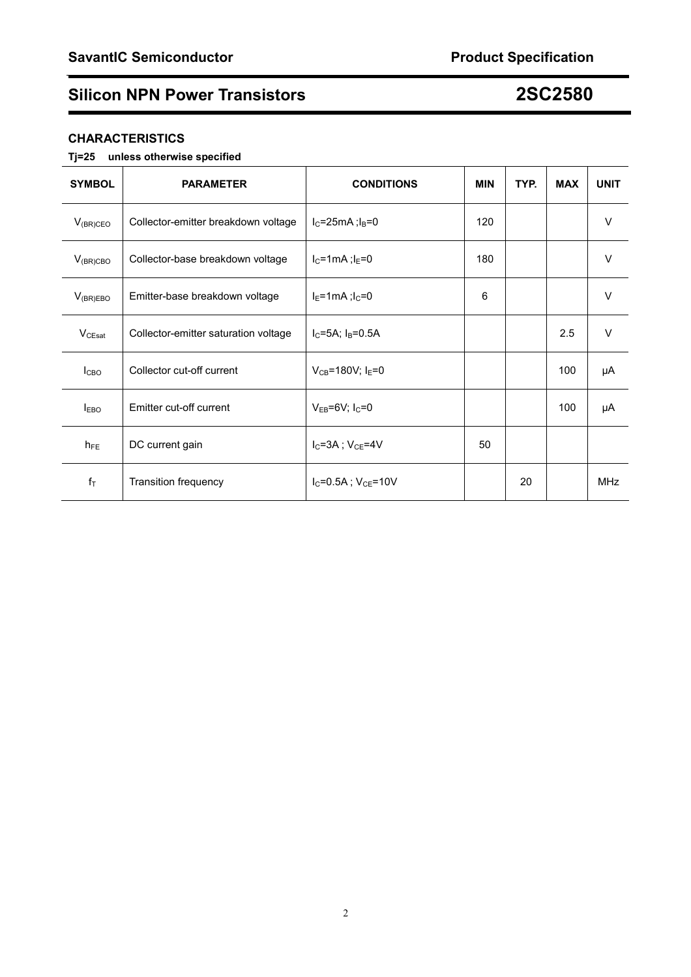# **Silicon NPN Power Transistors 2SC2580**

## **CHARACTERISTICS**

# **Tj=25 unless otherwise specified**

| <b>SYMBOL</b>      | <b>PARAMETER</b>                     | <b>CONDITIONS</b>                   | <b>MIN</b> | TYP. | <b>MAX</b> | <b>UNIT</b> |
|--------------------|--------------------------------------|-------------------------------------|------------|------|------------|-------------|
| $V_{(BR)CEO}$      | Collector-emitter breakdown voltage  | $I_C = 25mA$ ; $I_B = 0$            | 120        |      |            | $\vee$      |
| $V_{(BR)CBO}$      | Collector-base breakdown voltage     | $I_C = 1mA$ ; $I_E = 0$             | 180        |      |            | $\vee$      |
| $V_{(BR)EBO}$      | Emitter-base breakdown voltage       | $I_E = 1mA$ ; $I_C = 0$             | 6          |      |            | $\vee$      |
| V <sub>CEsat</sub> | Collector-emitter saturation voltage | $I_C = 5A$ ; $I_B = 0.5A$           |            |      | 2.5        | $\vee$      |
| I <sub>CBO</sub>   | Collector cut-off current            | $V_{CB} = 180V$ ; I <sub>E</sub> =0 |            |      | 100        | μA          |
| $I_{EBO}$          | Emitter cut-off current              | $V_{EB}$ =6V; I <sub>C</sub> =0     |            |      | 100        | μA          |
| $h_{FE}$           | DC current gain                      | $I_C = 3A$ ; $V_{CE} = 4V$          | 50         |      |            |             |
| $f_T$              | Transition frequency                 | $I_C = 0.5A$ ; $V_{CE} = 10V$       |            | 20   |            | <b>MHz</b>  |